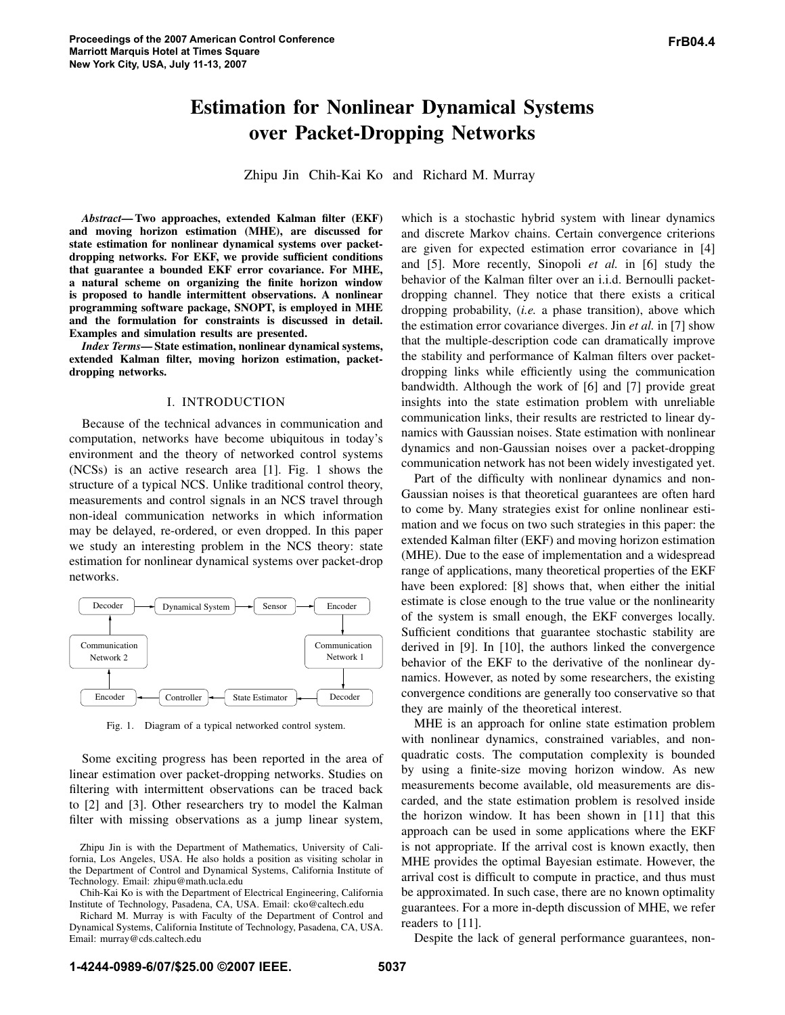# **Estimation for Nonlinear Dynamical Systems over Packet-Dropping Networks**

Zhipu Jin Chih-Kai Ko and Richard M. Murray

*Abstract***—Two approaches, extended Kalman filter (EKF) and moving horizon estimation (MHE), are discussed for state estimation for nonlinear dynamical systems over packetdropping networks. For EKF, we provide sufficient conditions that guarantee a bounded EKF error covariance. For MHE, a natural scheme on organizing the finite horizon window is proposed to handle intermittent observations. A nonlinear programming software package, SNOPT, is employed in MHE and the formulation for constraints is discussed in detail. Examples and simulation results are presented.**

*Index Terms***—State estimation, nonlinear dynamical systems, extended Kalman filter, moving horizon estimation, packetdropping networks.**

#### I. INTRODUCTION

Because of the technical advances in communication and computation, networks have become ubiquitous in today's environment and the theory of networked control systems (NCSs) is an active research area [1]. Fig. 1 shows the structure of a typical NCS. Unlike traditional control theory, measurements and control signals in an NCS travel through non-ideal communication networks in which information may be delayed, re-ordered, or even dropped. In this paper we study an interesting problem in the NCS theory: state estimation for nonlinear dynamical systems over packet-drop networks.



Fig. 1. Diagram of a typical networked control system.

Some exciting progress has been reported in the area of linear estimation over packet-dropping networks. Studies on filtering with intermittent observations can be traced back to [2] and [3]. Other researchers try to model the Kalman filter with missing observations as a jump linear system,

which is a stochastic hybrid system with linear dynamics and discrete Markov chains. Certain convergence criterions are given for expected estimation error covariance in [4] and [5]. More recently, Sinopoli *et al.* in [6] study the behavior of the Kalman filter over an i.i.d. Bernoulli packetdropping channel. They notice that there exists a critical dropping probability, (*i.e.* a phase transition), above which the estimation error covariance diverges. Jin *et al.* in [7] show that the multiple-description code can dramatically improve the stability and performance of Kalman filters over packetdropping links while efficiently using the communication bandwidth. Although the work of [6] and [7] provide great insights into the state estimation problem with unreliable communication links, their results are restricted to linear dynamics with Gaussian noises. State estimation with nonlinear dynamics and non-Gaussian noises over a packet-dropping communication network has not been widely investigated yet.

Part of the difficulty with nonlinear dynamics and non-Gaussian noises is that theoretical guarantees are often hard to come by. Many strategies exist for online nonlinear estimation and we focus on two such strategies in this paper: the extended Kalman filter (EKF) and moving horizon estimation (MHE). Due to the ease of implementation and a widespread range of applications, many theoretical properties of the EKF have been explored: [8] shows that, when either the initial estimate is close enough to the true value or the nonlinearity of the system is small enough, the EKF converges locally. Sufficient conditions that guarantee stochastic stability are derived in [9]. In [10], the authors linked the convergence behavior of the EKF to the derivative of the nonlinear dynamics. However, as noted by some researchers, the existing convergence conditions are generally too conservative so that they are mainly of the theoretical interest.

MHE is an approach for online state estimation problem with nonlinear dynamics, constrained variables, and nonquadratic costs. The computation complexity is bounded by using a finite-size moving horizon window. As new measurements become available, old measurements are discarded, and the state estimation problem is resolved inside the horizon window. It has been shown in [11] that this approach can be used in some applications where the EKF is not appropriate. If the arrival cost is known exactly, then MHE provides the optimal Bayesian estimate. However, the arrival cost is difficult to compute in practice, and thus must be approximated. In such case, there are no known optimality guarantees. For a more in-depth discussion of MHE, we refer readers to [11].

Despite the lack of general performance guarantees, non-

Zhipu Jin is with the Department of Mathematics, University of California, Los Angeles, USA. He also holds a position as visiting scholar in the Department of Control and Dynamical Systems, California Institute of Technology. Email: zhipu@math.ucla.edu

Chih-Kai Ko is with the Department of Electrical Engineering, California Institute of Technology, Pasadena, CA, USA. Email: cko@caltech.edu

Richard M. Murray is with Faculty of the Department of Control and Dynamical Systems, California Institute of Technology, Pasadena, CA, USA. Email: murray@cds.caltech.edu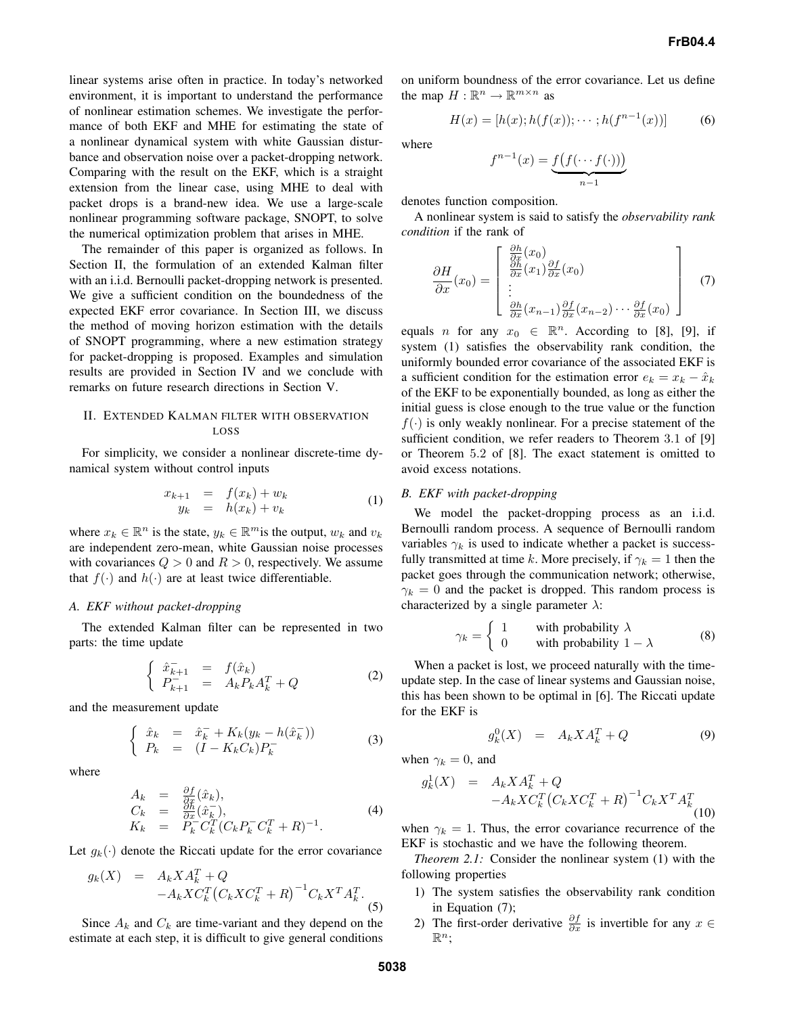linear systems arise often in practice. In today's networked environment, it is important to understand the performance of nonlinear estimation schemes. We investigate the performance of both EKF and MHE for estimating the state of a nonlinear dynamical system with white Gaussian disturbance and observation noise over a packet-dropping network. Comparing with the result on the EKF, which is a straight extension from the linear case, using MHE to deal with packet drops is a brand-new idea. We use a large-scale nonlinear programming software package, SNOPT, to solve the numerical optimization problem that arises in MHE.

The remainder of this paper is organized as follows. In Section II, the formulation of an extended Kalman filter with an i.i.d. Bernoulli packet-dropping network is presented. We give a sufficient condition on the boundedness of the expected EKF error covariance. In Section III, we discuss the method of moving horizon estimation with the details of SNOPT programming, where a new estimation strategy for packet-dropping is proposed. Examples and simulation results are provided in Section IV and we conclude with remarks on future research directions in Section V.

# II. EXTENDED KALMAN FILTER WITH OBSERVATION LOSS

For simplicity, we consider a nonlinear discrete-time dynamical system without control inputs

$$
x_{k+1} = f(x_k) + w_k
$$
  
\n
$$
y_k = h(x_k) + v_k
$$
\n(1)

where  $x_k \in \mathbb{R}^n$  is the state,  $y_k \in \mathbb{R}^m$  is the output,  $w_k$  and  $v_k$ are independent zero-mean, white Gaussian noise processes with covariances  $Q > 0$  and  $R > 0$ , respectively. We assume that  $f(\cdot)$  and  $h(\cdot)$  are at least twice differentiable.

### *A. EKF without packet-dropping*

The extended Kalman filter can be represented in two parts: the time update

$$
\begin{cases} \n\hat{x}_{k+1}^{-} = f(\hat{x}_k) \\
P_{k+1}^{-} = A_k P_k A_k^T + Q \n\end{cases}
$$
\n(2)

and the measurement update

$$
\begin{cases} \hat{x}_k = \hat{x}_k^- + K_k(y_k - h(\hat{x}_k^-)) \\ P_k = (I - K_k C_k) P_k^- \end{cases}
$$
 (3)

where

$$
A_k = \frac{\partial f}{\partial x}(\hat{x}_k),
$$
  
\n
$$
C_k = \frac{\partial h}{\partial x}(\hat{x}_k^-),
$$
  
\n
$$
K_k = P_k^- C_k^T (C_k P_k^- C_k^T + R)^{-1}.
$$
\n(4)

Let  $g_k(\cdot)$  denote the Riccati update for the error covariance

$$
g_k(X) = A_k X A_k^T + Q -A_k X C_k^T (C_k X C_k^T + R)^{-1} C_k X^T A_k^T.
$$
\n(5)

Since  $A_k$  and  $C_k$  are time-variant and they depend on the estimate at each step, it is difficult to give general conditions on uniform boundness of the error covariance. Let us define the map  $H: \mathbb{R}^n \to \mathbb{R}^{m \times n}$  as

$$
H(x) = [h(x); h(f(x)); \cdots; h(f^{n-1}(x))]
$$
 (6)

where

$$
f^{n-1}(x) = \underbrace{f(f(\cdots f(\cdot)))}_{n-1}
$$

denotes function composition.

A nonlinear system is said to satisfy the *observability rank condition* if the rank of

$$
\frac{\partial H}{\partial x}(x_0) = \begin{bmatrix} \frac{\partial h}{\partial x}(x_0) \\ \frac{\partial h}{\partial x}(x_1) \frac{\partial f}{\partial x}(x_0) \\ \vdots \\ \frac{\partial h}{\partial x}(x_{n-1}) \frac{\partial f}{\partial x}(x_{n-2}) \cdots \frac{\partial f}{\partial x}(x_0) \end{bmatrix}
$$
(7)

equals *n* for any  $x_0 \in \mathbb{R}^n$ . According to [8], [9], if system (1) satisfies the observability rank condition, the uniformly bounded error covariance of the associated EKF is a sufficient condition for the estimation error  $e_k = x_k - \hat{x}_k$ of the EKF to be exponentially bounded, as long as either the initial guess is close enough to the true value or the function  $f(\cdot)$  is only weakly nonlinear. For a precise statement of the sufficient condition, we refer readers to Theorem 3.1 of [9] or Theorem 5.2 of [8]. The exact statement is omitted to avoid excess notations.

# *B. EKF with packet-dropping*

We model the packet-dropping process as an i.i.d. Bernoulli random process. A sequence of Bernoulli random variables  $\gamma_k$  is used to indicate whether a packet is successfully transmitted at time k. More precisely, if  $\gamma_k = 1$  then the packet goes through the communication network; otherwise,  $\gamma_k = 0$  and the packet is dropped. This random process is characterized by a single parameter  $\lambda$ :

$$
\gamma_k = \begin{cases} 1 & \text{with probability } \lambda \\ 0 & \text{with probability } 1 - \lambda \end{cases} \tag{8}
$$

When a packet is lost, we proceed naturally with the timeupdate step. In the case of linear systems and Gaussian noise, this has been shown to be optimal in [6]. The Riccati update for the EKF is

$$
g_k^0(X) = A_k X A_k^T + Q \tag{9}
$$

when  $\gamma_k = 0$ , and

$$
g_k^1(X) = A_k X A_k^T + Q -A_k X C_k^T (C_k X C_k^T + R)^{-1} C_k X^T A_k^T
$$
\n(10)

when  $\gamma_k = 1$ . Thus, the error covariance recurrence of the EKF is stochastic and we have the following theorem.

*Theorem 2.1:* Consider the nonlinear system (1) with the following properties

- 1) The system satisfies the observability rank condition in Equation (7);
- 2) The first-order derivative  $\frac{\partial f}{\partial x}$  is invertible for any  $x \in$  $\mathbb{R}^n$ ;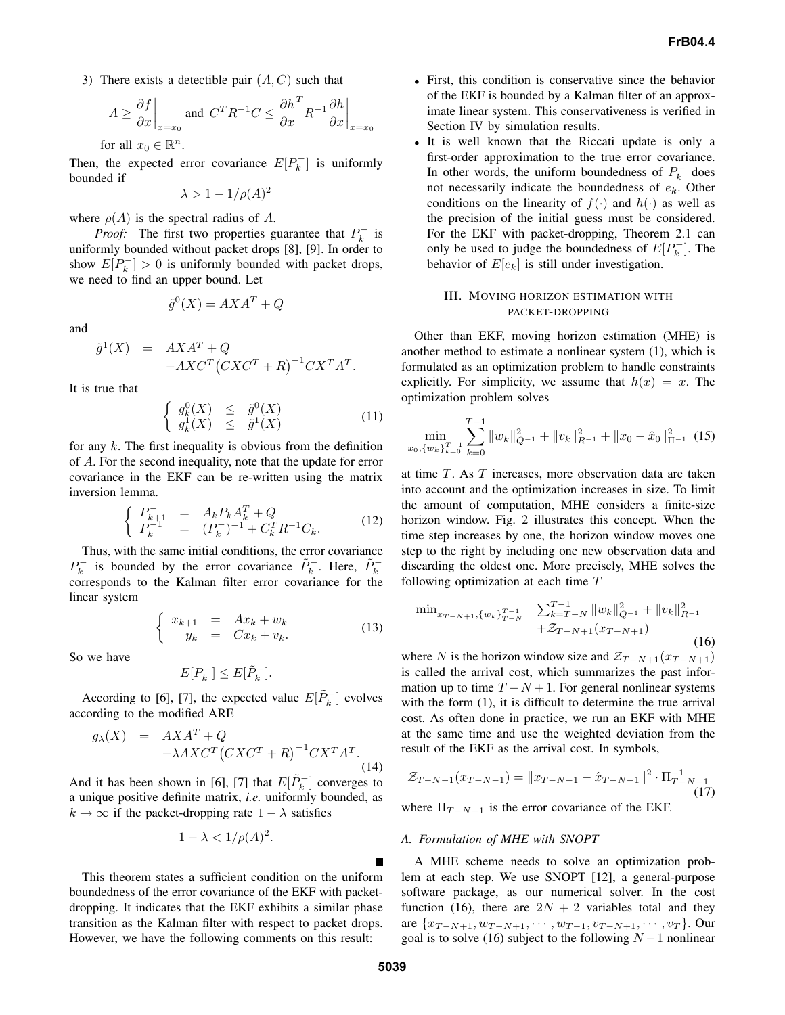3) There exists a detectible pair  $(A, C)$  such that

$$
A \ge \frac{\partial f}{\partial x}\Big|_{x=x_0} \text{ and } C^T R^{-1} C \le \frac{\partial h}{\partial x}^T R^{-1} \frac{\partial h}{\partial x}\Big|_{x=x_0}
$$
  
for all  $x_0 \in \mathbb{R}^n$ .

Then, the expected error covariance  $E[P_k^-]$  is uniformly bounded if

$$
\lambda > 1 - 1/\rho(A)^2
$$

where  $\rho(A)$  is the spectral radius of A.

*Proof:* The first two properties guarantee that  $P_k^-$  is uniformly bounded without packet drops [8], [9]. In order to show  $E[P_k^-] > 0$  is uniformly bounded with packet drops, we need to find an upper bound. Let

$$
\tilde{g}^0(X) = AXA^T + Q
$$

and

$$
\tilde{g}^1(X) = AXA^T + Q
$$
  
-AXC<sup>T</sup>(CXC<sup>T</sup> + R)<sup>-1</sup>CX<sup>T</sup>A<sup>T</sup>.

It is true that

$$
\begin{cases}\n g_k^0(X) & \leq \tilde{g}^0(X) \\
 g_k^1(X) & \leq \tilde{g}^1(X)\n\end{cases}\n\tag{11}
$$

for any  $k$ . The first inequality is obvious from the definition of A. For the second inequality, note that the update for error covariance in the EKF can be re-written using the matrix inversion lemma.

$$
\begin{cases}\nP_{k+1}^{-1} = A_k P_k A_k^T + Q \\
P_k^{-1} = (P_k^{-})^{-1} + C_k^T R^{-1} C_k.\n\end{cases}
$$
\n(12)

Thus, with the same initial conditions, the error covariance  $P_k^-$  is bounded by the error covariance  $\tilde{P}_k^-$ . Here,  $\tilde{P}_k^$ corresponds to the Kalman filter error covariance for the linear system

$$
\begin{cases}\nx_{k+1} = Ax_k + w_k \\
y_k = Cx_k + v_k.\n\end{cases}
$$
\n(13)

So we have

$$
E[P_k^-] \le E[\tilde{P}_k^-].
$$

According to [6], [7], the expected value  $E[\tilde{P}_k^-]$  evolves according to the modified ARE

$$
g_{\lambda}(X) = AXAT + Q
$$
  
-
$$
-\lambda AXCT(CXCT + R)-1CXTAT.
$$
\n(14)

And it has been shown in [6], [7] that  $E[\tilde{P}_k^-]$  converges to a unique positive definite matrix, *i.e.* uniformly bounded, as  $k \to \infty$  if the packet-dropping rate  $1 - \lambda$  satisfies

$$
1 - \lambda < 1/\rho(A)^2.
$$

This theorem states a sufficient condition on the uniform boundedness of the error covariance of the EKF with packetdropping. It indicates that the EKF exhibits a similar phase transition as the Kalman filter with respect to packet drops. However, we have the following comments on this result:

- First, this condition is conservative since the behavior of the EKF is bounded by a Kalman filter of an approximate linear system. This conservativeness is verified in Section IV by simulation results.
- It is well known that the Riccati update is only a first-order approximation to the true error covariance. In other words, the uniform boundedness of  $P_k^-$  does not necessarily indicate the boundedness of  $e_k$ . Other conditions on the linearity of  $f(\cdot)$  and  $h(\cdot)$  as well as the precision of the initial guess must be considered. For the EKF with packet-dropping, Theorem 2.1 can only be used to judge the boundedness of  $E[P_k^-]$ . The behavior of  $E[e_k]$  is still under investigation.

## III. MOVING HORIZON ESTIMATION WITH PACKET-DROPPING

Other than EKF, moving horizon estimation (MHE) is another method to estimate a nonlinear system (1), which is formulated as an optimization problem to handle constraints explicitly. For simplicity, we assume that  $h(x) = x$ . The optimization problem solves

$$
\min_{x_0, \{w_k\}_{k=0}^{T-1}} \sum_{k=0}^{T-1} \|w_k\|_{Q^{-1}}^2 + \|v_k\|_{R^{-1}}^2 + \|x_0 - \hat{x}_0\|_{\Pi^{-1}}^2 \tag{15}
$$

at time T. As T increases, more observation data are taken into account and the optimization increases in size. To limit the amount of computation, MHE considers a finite-size horizon window. Fig. 2 illustrates this concept. When the time step increases by one, the horizon window moves one step to the right by including one new observation data and discarding the oldest one. More precisely, MHE solves the following optimization at each time T

$$
\min_{x_{T-N+1}, \{w_k\}_{T-N}^{T-1}} \quad \sum_{k=T-N}^{T-1} \|w_k\|_{Q^{-1}}^2 + \|v_k\|_{R^{-1}}^2 + \mathcal{Z}_{T-N+1}(x_{T-N+1}) \tag{16}
$$

where N is the horizon window size and  $\mathcal{Z}_{T-N+1}(x_{T-N+1})$ is called the arrival cost, which summarizes the past information up to time  $T - N + 1$ . For general nonlinear systems with the form  $(1)$ , it is difficult to determine the true arrival cost. As often done in practice, we run an EKF with MHE at the same time and use the weighted deviation from the result of the EKF as the arrival cost. In symbols,

$$
\mathcal{Z}_{T-N-1}(x_{T-N-1}) = \|x_{T-N-1} - \hat{x}_{T-N-1}\|^2 \cdot \Pi_{T-N-1}^{-1}
$$
\n(17)

where  $\Pi_{T-N-1}$  is the error covariance of the EKF.

#### *A. Formulation of MHE with SNOPT*

A MHE scheme needs to solve an optimization problem at each step. We use SNOPT [12], a general-purpose software package, as our numerical solver. In the cost function (16), there are  $2N + 2$  variables total and they are  $\{x_{T-N+1}, w_{T-N+1}, \cdots, w_{T-1}, v_{T-N+1}, \cdots, v_T\}$ . Our goal is to solve (16) subject to the following  $N-1$  nonlinear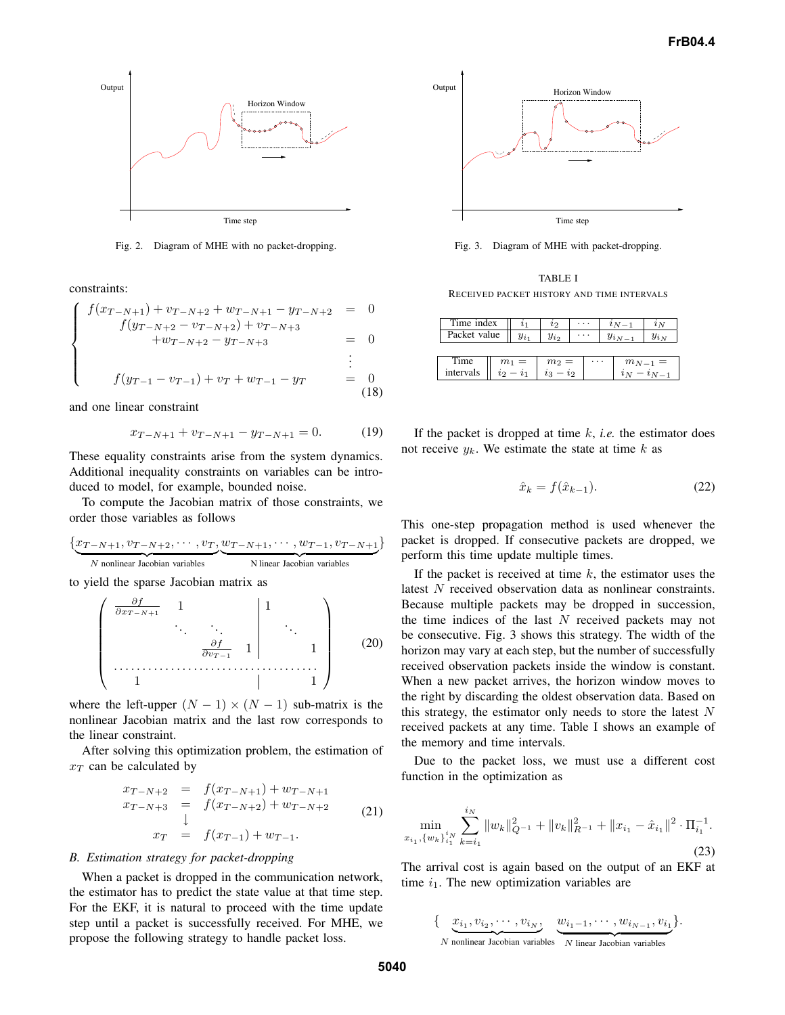

Fig. 2. Diagram of MHE with no packet-dropping.

constraints:

$$
\begin{cases}\nf(x_{T-N+1}) + v_{T-N+2} + w_{T-N+1} - y_{T-N+2} = 0 \\
f(y_{T-N+2} - v_{T-N+2}) + v_{T-N+3} = 0 \\
+w_{T-N+2} - y_{T-N+3} = 0 \\
\vdots \\
f(y_{T-1} - v_{T-1}) + v_T + w_{T-1} - y_T = 0\n\end{cases}
$$
\n(18)

and one linear constraint

$$
x_{T-N+1} + v_{T-N+1} - y_{T-N+1} = 0.
$$
 (19)

These equality constraints arise from the system dynamics. Additional inequality constraints on variables can be introduced to model, for example, bounded noise.

To compute the Jacobian matrix of those constraints, we order those variables as follows

$$
\{\underbrace{x_{T-N+1}, v_{T-N+2}, \cdots, v_T}_{N \text{ nonlinear Jacobian variables}}, \underbrace{w_{T-N+1}, \cdots, w_{T-1}, v_{T-N+1}}_{N \text{ linear Jacobian variables}}\}
$$

to yield the sparse Jacobian matrix as

$$
\begin{pmatrix}\n\frac{\partial f}{\partial x_{T-N+1}} & 1 & & & 1 \\
& \ddots & \ddots & & \vdots \\
& & \frac{\partial f}{\partial v_{T-1}} & 1 & & 1 \\
& & & & \ddots \\
& & & & & 1\n\end{pmatrix}
$$
\n(20)

where the left-upper  $(N - 1) \times (N - 1)$  sub-matrix is the nonlinear Jacobian matrix and the last row corresponds to the linear constraint.

After solving this optimization problem, the estimation of  $x_T$  can be calculated by

$$
x_{T-N+2} = f(x_{T-N+1}) + w_{T-N+1}
$$
  
\n
$$
x_{T-N+3} = f(x_{T-N+2}) + w_{T-N+2}
$$
  
\n
$$
\downarrow
$$
  
\n
$$
x_T = f(x_{T-1}) + w_{T-1}.
$$
\n(21)

#### *B. Estimation strategy for packet-dropping*

When a packet is dropped in the communication network, the estimator has to predict the state value at that time step. For the EKF, it is natural to proceed with the time update step until a packet is successfully received. For MHE, we propose the following strategy to handle packet loss.



Fig. 3. Diagram of MHE with packet-dropping.

TABLE I RECEIVED PACKET HISTORY AND TIME INTERVALS

| Time index        |                      | $\iota_1$ | $\iota_2$                |  |          |  | $\imath_{N-1}$ | $\imath_N$ |
|-------------------|----------------------|-----------|--------------------------|--|----------|--|----------------|------------|
| Packet value      |                      | $y_{i_1}$ | $y_{i_2}$                |  |          |  |                | $y_{i_N}$  |
|                   |                      |           |                          |  |          |  |                |            |
| Time<br>intervals | $m_1 =$<br>$\iota_2$ |           | $m_2 =$<br>22<br>$i_{3}$ |  | $\cdots$ |  | $m_{N-1} =$    |            |

If the packet is dropped at time  $k$ , *i.e.* the estimator does not receive  $y_k$ . We estimate the state at time k as

$$
\hat{x}_k = f(\hat{x}_{k-1}).\tag{22}
$$

This one-step propagation method is used whenever the packet is dropped. If consecutive packets are dropped, we perform this time update multiple times.

If the packet is received at time  $k$ , the estimator uses the latest N received observation data as nonlinear constraints. Because multiple packets may be dropped in succession, the time indices of the last  $N$  received packets may not be consecutive. Fig. 3 shows this strategy. The width of the horizon may vary at each step, but the number of successfully received observation packets inside the window is constant. When a new packet arrives, the horizon window moves to the right by discarding the oldest observation data. Based on this strategy, the estimator only needs to store the latest  $N$ received packets at any time. Table I shows an example of the memory and time intervals.

Due to the packet loss, we must use a different cost function in the optimization as

$$
\min_{x_{i_1}, \{w_k\}_{i_1}^{i_N}} \sum_{k=i_1}^{i_N} \|w_k\|_{Q^{-1}}^2 + \|v_k\|_{R^{-1}}^2 + \|x_{i_1} - \hat{x}_{i_1}\|^2 \cdot \Pi_{i_1}^{-1}.
$$
\n(23)

The arrival cost is again based on the output of an EKF at time  $i_1$ . The new optimization variables are

{
$$
x_{i_1}, v_{i_2}, \cdots, v_{i_N}, \underbrace{w_{i_1-1}, \cdots, w_{i_{N-1}}, v_{i_1}}_{N \text{ nonlinear Jacobian variables}}
$$
}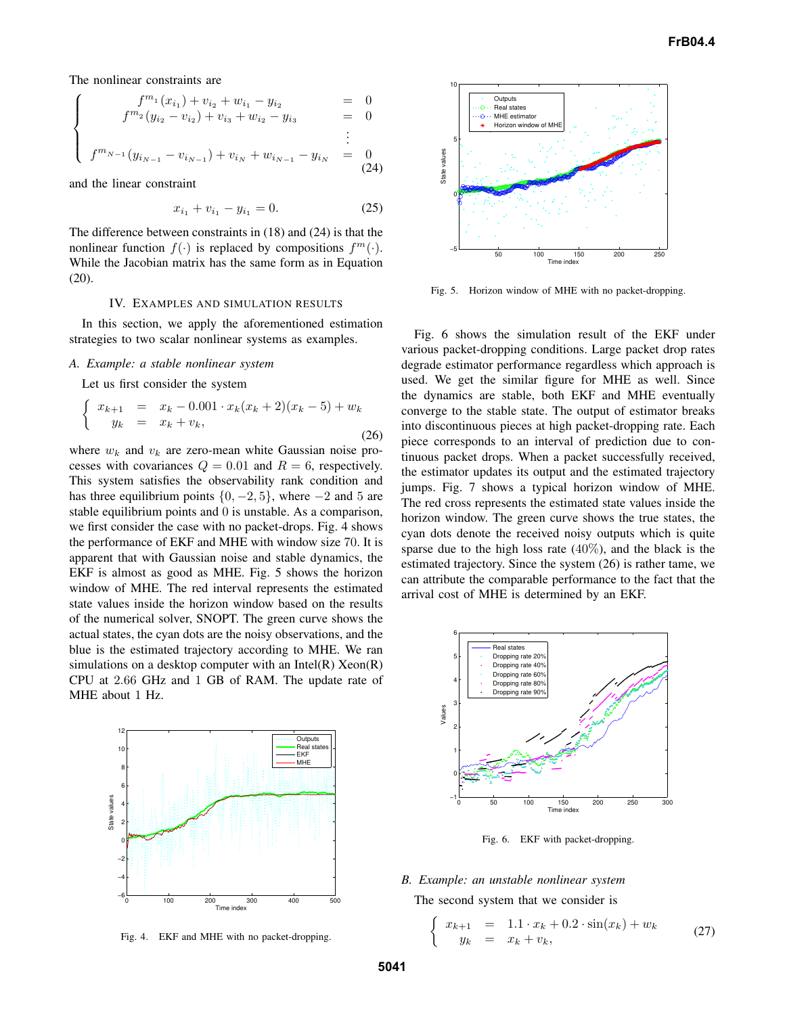The nonlinear constraints are

 $\sqrt{ }$  $\int$ 

$$
f^{m_1}(x_{i_1}) + v_{i_2} + w_{i_1} - y_{i_2} = 0
$$
  
\n
$$
f^{m_2}(y_{i_2} - v_{i_2}) + v_{i_3} + w_{i_2} - y_{i_3} = 0
$$

$$
\begin{cases}\n f^{m_{N-1}}(y_{i_{N-1}} - v_{i_{N-1}}) + v_{i_N} + w_{i_{N-1}} - y_{i_N} &= 0 \\
 0 & (24)\n \end{cases}
$$

and the linear constraint

$$
x_{i_1} + v_{i_1} - y_{i_1} = 0. \tag{25}
$$

The difference between constraints in (18) and (24) is that the nonlinear function  $f(\cdot)$  is replaced by compositions  $f^m(\cdot)$ . While the Jacobian matrix has the same form as in Equation (20).

#### IV. EXAMPLES AND SIMULATION RESULTS

In this section, we apply the aforementioned estimation strategies to two scalar nonlinear systems as examples.

#### *A. Example: a stable nonlinear system*

Let us first consider the system

$$
\begin{cases}\nx_{k+1} = x_k - 0.001 \cdot x_k (x_k + 2)(x_k - 5) + w_k \\
y_k = x_k + v_k,\n\end{cases}
$$
\n(26)

where  $w_k$  and  $v_k$  are zero-mean white Gaussian noise processes with covariances  $Q = 0.01$  and  $R = 6$ , respectively. This system satisfies the observability rank condition and has three equilibrium points  $\{0, -2, 5\}$ , where  $-2$  and 5 are stable equilibrium points and 0 is unstable. As a comparison, we first consider the case with no packet-drops. Fig. 4 shows the performance of EKF and MHE with window size 70. It is apparent that with Gaussian noise and stable dynamics, the EKF is almost as good as MHE. Fig. 5 shows the horizon window of MHE. The red interval represents the estimated state values inside the horizon window based on the results of the numerical solver, SNOPT. The green curve shows the actual states, the cyan dots are the noisy observations, and the blue is the estimated trajectory according to MHE. We ran simulations on a desktop computer with an Intel $(R)$  Xeon $(R)$ CPU at 2.66 GHz and 1 GB of RAM. The update rate of MHE about 1 Hz.



Fig. 4. EKF and MHE with no packet-dropping.



Fig. 5. Horizon window of MHE with no packet-dropping.

Fig. 6 shows the simulation result of the EKF under various packet-dropping conditions. Large packet drop rates degrade estimator performance regardless which approach is used. We get the similar figure for MHE as well. Since the dynamics are stable, both EKF and MHE eventually converge to the stable state. The output of estimator breaks into discontinuous pieces at high packet-dropping rate. Each piece corresponds to an interval of prediction due to continuous packet drops. When a packet successfully received, the estimator updates its output and the estimated trajectory jumps. Fig. 7 shows a typical horizon window of MHE. The red cross represents the estimated state values inside the horizon window. The green curve shows the true states, the cyan dots denote the received noisy outputs which is quite sparse due to the high loss rate  $(40\%)$ , and the black is the estimated trajectory. Since the system (26) is rather tame, we can attribute the comparable performance to the fact that the arrival cost of MHE is determined by an EKF.



Fig. 6. EKF with packet-dropping.

# *B. Example: an unstable nonlinear system*

The second system that we consider is

$$
\begin{cases}\nx_{k+1} = 1.1 \cdot x_k + 0.2 \cdot \sin(x_k) + w_k \\
y_k = x_k + v_k,\n\end{cases} \n(27)
$$